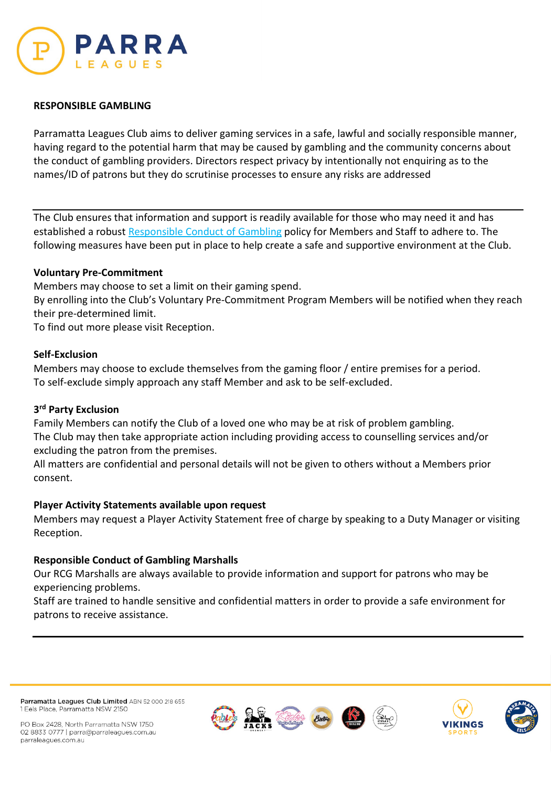

# **RESPONSIBLE GAMBLING**

Parramatta Leagues Club aims to deliver gaming services in a safe, lawful and socially responsible manner, having regard to the potential harm that may be caused by gambling and the community concerns about the conduct of gambling providers. Directors respect privacy by intentionally not enquiring as to the names/ID of patrons but they do scrutinise processes to ensure any risks are addressed

The Club ensures that information and support is readily available for those who may need it and has established a robust Responsible Conduct of Gambling policy for Members and Staff to adhere to. The following measures have been put in place to help create a safe and supportive environment at the Club.

# **Voluntary Pre-Commitment**

Members may choose to set a limit on their gaming spend.

By enrolling into the Club's Voluntary Pre-Commitment Program Members will be notified when they reach their pre-determined limit.

To find out more please visit Reception.

## **Self-Exclusion**

Members may choose to exclude themselves from the gaming floor / entire premises for a period. To self-exclude simply approach any staff Member and ask to be self-excluded.

### **3rd Party Exclusion**

Family Members can notify the Club of a loved one who may be at risk of problem gambling. The Club may then take appropriate action including providing access to counselling services and/or excluding the patron from the premises.

All matters are confidential and personal details will not be given to others without a Members prior consent.

# **Player Activity Statements available upon request**

Members may request a Player Activity Statement free of charge by speaking to a Duty Manager or visiting Reception.

# **Responsible Conduct of Gambling Marshalls**

Our RCG Marshalls are always available to provide information and support for patrons who may be experiencing problems.

Staff are trained to handle sensitive and confidential matters in order to provide a safe environment for patrons to receive assistance.